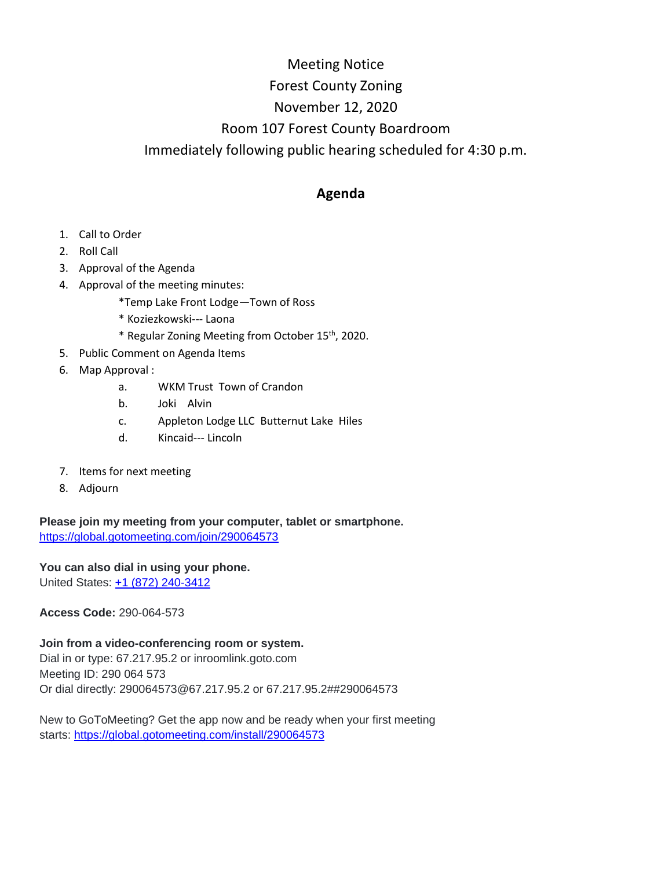## Meeting Notice Forest County Zoning November 12, 2020 Room 107 Forest County Boardroom Immediately following public hearing scheduled for 4:30 p.m.

## **Agenda**

- 1. Call to Order
- 2. Roll Call
- 3. Approval of the Agenda
- 4. Approval of the meeting minutes:
	- \*Temp Lake Front Lodge—Town of Ross
	- \* Koziezkowski--- Laona
	- \* Regular Zoning Meeting from October 15th, 2020.
- 5. Public Comment on Agenda Items
- 6. Map Approval :
	- a. WKM Trust Town of Crandon
	- b. Joki Alvin
	- c. Appleton Lodge LLC Butternut Lake Hiles
	- d. Kincaid--- Lincoln
- 7. Items for next meeting
- 8. Adjourn

**Please join my meeting from your computer, tablet or smartphone.** <https://global.gotomeeting.com/join/290064573>

**You can also dial in using your phone.** United States: [+1 \(872\) 240-3412](tel:+18722403412,,290064573)

**Access Code:** 290-064-573

**Join from a video-conferencing room or system.** Dial in or type: 67.217.95.2 or inroomlink.goto.com Meeting ID: 290 064 573 Or dial directly: 290064573@67.217.95.2 or 67.217.95.2##290064573

New to GoToMeeting? Get the app now and be ready when your first meeting starts: <https://global.gotomeeting.com/install/290064573>